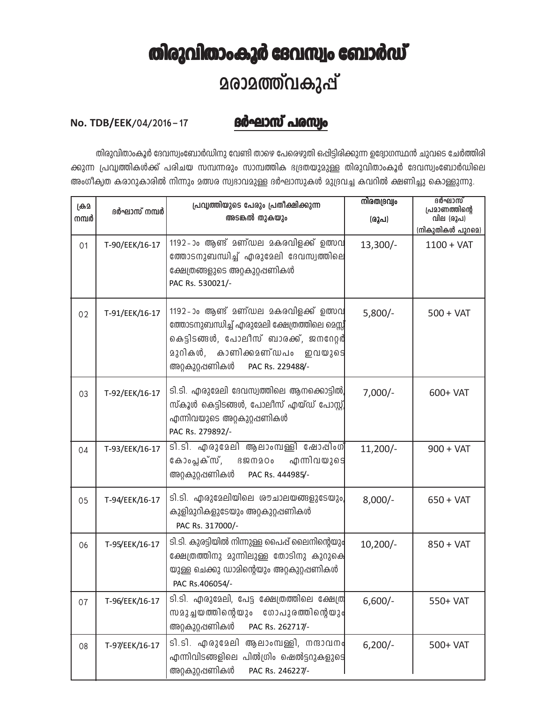## തിരുവിതാംകൂർ ദേവസ്വം ബോർഡ് **2രാ2ത്ത്വകുപ്പ്**

## <u>ദർഘാസ് പരസ്വം</u>

## No. TDB/EEK/04/2016-17

തിരുവിതാംകൂർ ദേവസ്വംബോർഡിനു വേണ്ടി താഴെ പേരെഴുതി ഒപ്പിട്ടിരിക്കുന്ന ഉദ്യോഗസ്ഥൻ ചുവടെ ചേർത്തിരി ക്കുന്ന പ്രവൃത്തികൾക്ക് പരിചയ സമ്പന്നരും സാമ്പത്തിക ഭദ്രതയുമുള്ള തിരുവിതാംകൂർ ദേവസ്വംബോർഡിലെ അംഗീക്വത കരാറുകാരിൽ നിന്നും മത്സര സ്വഭാവമുള്ള ദർഘാസുകൾ മുദ്രവച്ച കവറിൽ ക്ഷണിച്ചു കൊള്ളുന്നു.

| ക്രമ<br>നമ്പർ | ദർഘാസ് നമ്പർ   | പ്രവൃത്തിയുടെ പേരും പ്രതീക്ഷിക്കുന്ന<br>അടങ്കൽ തുകയും                                                                                                                                                | നിരതദ്രവ്വം<br>(രൂപ) | ദർഘാസ്<br>പ്രമാണത്തിന്റെ<br>വില (രൂപ)<br>(നികുതികൾ പുറമെ) |
|---------------|----------------|------------------------------------------------------------------------------------------------------------------------------------------------------------------------------------------------------|----------------------|-----------------------------------------------------------|
| 01            | T-90/EEK/16-17 | $1192$ -ാം ആണ് മണ്ഡല മകരവിളക്ക് ഉത്സവ<br>ത്തോടനുബന്ധിച്ച് എരുമേലി ദേവസ്വത്തിലെ<br>ക്ഷേത്രങ്ങളുടെ അറ്റകുറ്റപ്പണികൾ<br>PAC Rs. 530021/-                                                                | $13,300/-$           | $1100 + VAT$                                              |
| 02            | T-91/EEK/16-17 | 1192-ാം ആണ് മണ്ഡല മകരവിളക്ക് ഉത്സവ<br>ത്തോടനുബന്ധിച്ച് എരുമേലി ക്ഷേത്രത്തിലെ മെസ്സ്<br>കെട്ടിടങ്ങൾ, പോലീസ് ബാരക്ക്, ജനറേറ്റർ<br>മുറികൾ, കാണിക്കമണ്ഡപം ഇവയുടെ<br>അറ്റകുറ്റപ്പണികൾ<br>PAC Rs. 229488/- | $5,800/-$            | $500 + VAT$                                               |
| 03            | T-92/EEK/16-17 | ടി.ടി. എരുമേലി ദേവസ്വത്തിലെ ആനക്കൊട്ടിൽ,<br>സ്കൂൾ കെട്ടിടങ്ങൾ, പോലീസ് എയ്ഡ് പോസ്റ്റ്വ<br>എന്നിവയുടെ അറ്റകുറ്റഷണികൾ<br>PAC Rs. 279892/-                                                               | $7,000/-$            | 600+ VAT                                                  |
| 04            | T-93/EEK/16-17 | ടി.ടി. എരുമേലി ആലാംമ്പള്ളി ഷോഷിംഗ്<br>കോംപ്ലക്സ്, ദജനമഠം എന്നിവയുടെ<br>അറ്റകുറ്റപ്പണികൾ<br>PAC Rs. 444985/-                                                                                          | $11,200/-$           | $900 + VAT$                                               |
| 05            | T-94/EEK/16-17 | ടി.ടി. എരുമേലിയിലെ ശൗചാലയങ്ങളുടേയും <br>കുളിമുറികളുടേയും അറ്റകുറ്റഷണികൾ<br>PAC Rs. 317000/-                                                                                                          | $8,000/-$            | $650 + VAT$                                               |
| 06            | T-95/EEK/16-17 | ടി.ടി. കുരട്ടിയിൽ നിന്നുള്ള പൈപ്പ് ലൈനിന്റെയും<br>ക്ഷേത്രത്തിനു മുന്നിലുള്ള തോടിനു കുറുക്വെ<br>യുള്ള ചെക്കു ഡാമിന്റെയും അറ്റകുറ്റഷണികൾ<br>PAC Rs.406054/-                                            | $10,200/-$           | $850 + VAT$                                               |
| 07            | T-96/EEK/16-17 | ടി.ടി. എരുമേലി, പേട്ട ക്ഷേത്രത്തിലെ ക്ഷേത്രി<br>സമുച്ചയത്തിന്റെയും<br>ഗോപുരത്തിന്റെയും<br>അറ്റകുറ്റപ്പണികൾ<br>PAC Rs. 262717/-                                                                       | $6,600/-$            | 550+ VAT                                                  |
| 08            | T-97/EEK/16-17 | ടി.ടി. എരുമേലി ആലാംമ്പള്ളി, നന്ദാവനം<br>എന്നിവിടങ്ങളിലെ പിൽഗ്രിം ഷെൽട്ടറുകളുടെ<br>അറ്റകുറ്റപ്പണികൾ<br>PAC Rs. 246227/-                                                                               | $6,200/-$            | 500+ VAT                                                  |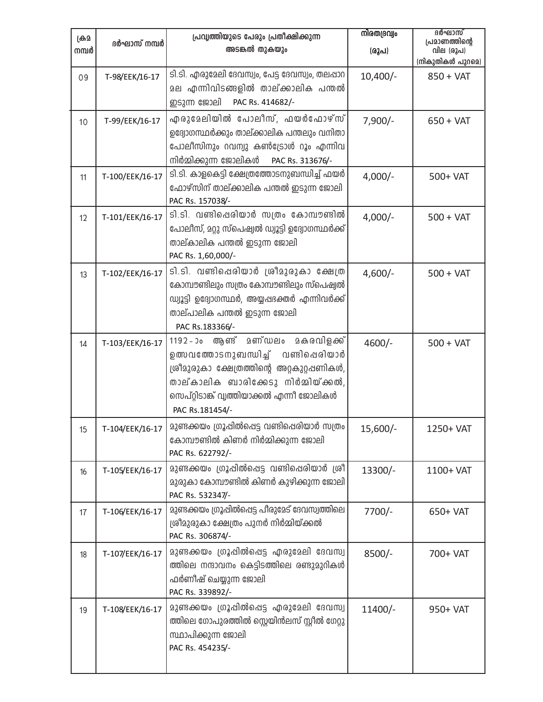| ക്ര്ര<br>നമ്പർ | ദർഘാസ് നമ്പർ    | പ്രവ്യത്തിയുടെ പേരും പ്രതീക്ഷിക്കുന്ന<br>അടങ്കൽ തുകയും                                                                                                                                                                                | നിരതദ്രവ്വം<br>(രൂപ) | ദർഘാസ്<br>പ്രമാണത്തിന്റെ<br>വില (രൂപ)<br>(നികുതികൾ പുറമെ) |
|----------------|-----------------|---------------------------------------------------------------------------------------------------------------------------------------------------------------------------------------------------------------------------------------|----------------------|-----------------------------------------------------------|
| 09             | T-98/EEK/16-17  | ടി.ടി. എരുമേലി ദേവസ്വം, പേട്ട ദേവസ്വം, തലപ്പാറ<br>മല എന്നിവിടങ്ങളിൽ താല്ക്കാലിക പന്തൽ<br>ഇടുന്ന ജോലി<br>PAC Rs. 414682/-                                                                                                              | $10,400/-$           | $850 + VAT$                                               |
| 10             | T-99/EEK/16-17  | എരുമേലിയിൽ പോലീസ്, ഫയർഫോഴ്സ്<br>ഉദ്യോഗസ്ഥർക്കും താല്ക്കാലിക പന്തലും വനിതാ<br>പോലീസിനും റവന്വു കൺട്രോൾ റൂം എന്നിവ<br>നിർമ്മിക്കുന്ന ജോലികൾ<br>PAC Rs. 313676/-                                                                         | $7,900/-$            | $650 + VAT$                                               |
| 11             | T-100/EEK/16-17 | ടി.ടി. കാളകെട്ടി ക്ഷേത്രത്തോടനുബന്ധിച്ച് ഫയർ<br>ഫോഴ്സിന് താല്ക്കാലിക പന്തൽ ഇടുന്ന ജോലി<br>PAC Rs. 157038/-                                                                                                                            | $4,000/-$            | 500+ VAT                                                  |
| 12             | T-101/EEK/16-17 | ടി.ടി. വണ്ടിപ്പെരിയാർ സത്രം കോമ്പൗണ്ടിൽ<br>പോലീസ്, മറ്റു സ്പെഷ്വൽ ഡ്വൂട്ടി ഉദ്യോഗസ്ഥർക്ക്<br>താല്കാലിക പന്തൽ ഇടുന്ന ജോലി<br>PAC Rs. 1,60,000/-                                                                                        | $4,000/-$            | $500 + VAT$                                               |
| 13             | T-102/EEK/16-17 | ടി.ടി. വണ്ടിപ്പെരിയാർ ശ്രീമുരുകാ ക്ഷേത്ര<br>കോമ്പൗണ്ടിലും സത്രം കോമ്പൗണ്ടിലും സ്പെഷ്വൽ<br>ഡ്വൂട്ടി ഉദ്യോഗസ്ഥർ, അയ്യപ്പഭക്തർ എന്നിവർക്ക്<br>താല്പാലിക പന്തൽ ഇടുന്ന ജോലി<br>PAC Rs.183366/-                                             | $4,600/-$            | $500 + VAT$                                               |
| 14             | T-103/EEK/16-17 | ആണ് മണ്ഡലം<br>മകരവിളക്ക്<br>$1192 - 30$<br>ഉത്സവത്തോടനുബന്ധിച്ച് വണ്ടിപ്പെരിയാർ<br>ശ്രീമുരുകാ ക്ഷേത്രത്തിന്റെ അറ്റകുറ്റപ്പണികൾ,<br>താല്കാലിക ബാരിക്കേടു നിർമ്മിയ്ക്കൽ,<br>സെപ്റ്റിടാങ്ക് വൃത്തിയാക്കൽ എന്നീ ജോലികൾ<br>PAC Rs.181454/- | 4600/-               | $500 + VAT$                                               |
| 15             | T-104/EEK/16-17 | മുണ്ടക്കയം ഗ്രൂപ്പിൽപ്പെട്ട വണ്ടിപ്പെരിയാർ സത്രം<br>കോമ്പൗണ്ടിൽ കിണർ നിർമ്മിക്കുന്ന ജോലി<br>PAC Rs. 622792/-                                                                                                                          | $15,600/-$           | 1250+ VAT                                                 |
| 16             | T-105/EEK/16-17 | മുണ്ടക്കയം ഗ്രൂപ്പിൽപ്പെട്ട വണ്ടിപ്പെരിയാർ ശ്രീ<br>മുരുകാ കോമ്പൗണ്ടിൽ കിണർ കുഴിക്കുന്ന ജോലി<br>PAC Rs. 532347/-                                                                                                                       | 13300/-              | 1100+ VAT                                                 |
| 17             | T-106/EEK/16-17 | മുണ്ടക്കയം ഗ്രൂപ്പിൽപ്പെട്ട പീരുമേട് ദേവസ്വത്തിലെ<br>ശ്രീമുരുകാ ക്ഷേത്രം പുനർ നിർമ്മിയ്ക്കൽ<br>PAC Rs. 306874/-                                                                                                                       | $7700/-$             | 650+ VAT                                                  |
| 18             | T-107/EEK/16-17 | മുണ്ടക്കയം ഗ്രൂപ്പിൽപ്പെട്ട എരുമേലി ദേവസ്വ<br>ത്തിലെ നന്ദാവനം കെട്ടിടത്തിലെ രണ്ടുമുറികൾ<br>ഫർണീഷ് ചെയ്യുന്ന ജോലി<br>PAC Rs. 339892/-                                                                                                  | $8500/-$             | 700+ VAT                                                  |
| 19             | T-108/EEK/16-17 | മുണ്ടക്കയം ഗ്രൂപ്പിൽപ്പെട്ട എരുമേലി ദേവസ്വ<br>ത്തിലെ ഗോപുരത്തിൽ സ്റ്റെയിൻലസ് സ്റ്റീൽ ഗേറ്റു<br>സ്ഥാപിക്കുന്ന ജോലി<br>PAC Rs. 454235/-                                                                                                 | $11400/-$            | 950+ VAT                                                  |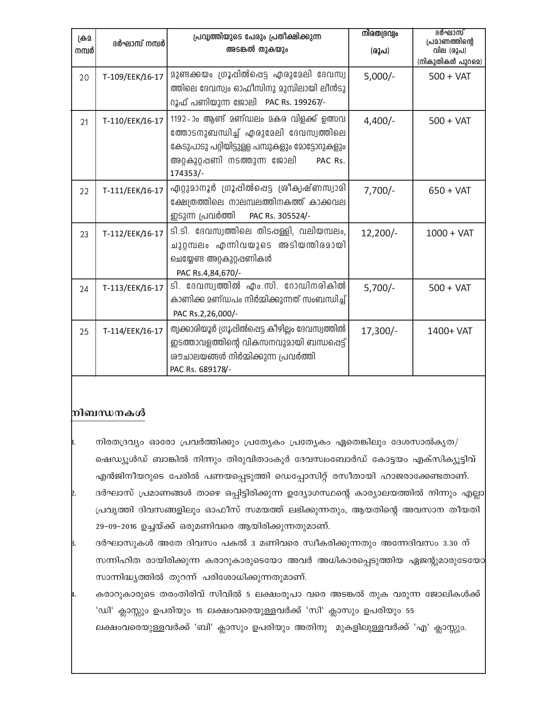| ക്ര്ര<br>നമ്പർ | ദർഘാസ് നമ്പർ    | പ്രവ്യത്തിയുടെ പേരും പ്രതീക്ഷിക്കുന്ന<br>അടങ്കൽ തുകയും                                                                                                                                | നിരതദ്രവ്വം<br>(രൂപ) | ദർഘാസ്<br>പ്രമാണത്തിന്റെ<br>വില (രൂപ)<br>(നികുതികൾ പുറമെ) |
|----------------|-----------------|---------------------------------------------------------------------------------------------------------------------------------------------------------------------------------------|----------------------|-----------------------------------------------------------|
| 20             | T-109/EEK/16-17 | മുണ്ടക്കയം ഗ്രൂപ്പിൽപ്പെട്ട എരുമേലി ദേവസ്വ<br>ത്തിലെ ദേവസ്വം ഓഫീസിനു മുമ്പിലായി ലീൻടു<br>റൂഫ് പണിയുന്ന ജോലി PAC Rs. 199267/-                                                          | $5,000/-$            | $500 + VAT$                                               |
| 21             | T-110/EEK/16-17 | 1192-ാം ആണ് മണ്ഡലം മകര വിളക്ക് ഉത്സവ<br>ത്തോടനുബന്ധിച്ച് എരുമേലി ദേവസ്വത്തിലെ<br>കേടുപാടു പറ്റിയിട്ടുള്ള പമ്പുകളും മോട്ടോറുകളും<br>അറ്റകുറ്റഷണി നടത്തുന്ന ജോലി<br>PAC Rs.<br>174353/- | $4,400/-$            | $500 + VAT$                                               |
| 22             | T-111/EEK/16-17 | ഏറ്റുമാനൂർ ഗ്രൂപ്പിൽപ്പെട്ട ശ്രീകൃഷ്ണസ്വാമി<br>ക്ഷേത്രത്തിലെ നാലമ്പലത്തിനകത്ത് കാക്കവല<br>ഇടുന്ന പ്രവർത്തി<br>PAC Rs. 305524/-                                                        | $7,700/-$            | $650 + VAT$                                               |
| 23             | T-112/EEK/16-17 | ടി.ടി. ദേവസ്വത്തിലെ തിടപ്പള്ളി, വലിയമ്പലം,<br>ചുറ്റമ്പലം എന്നിവയുടെ അടിയന്തിരമായി<br>ചെയ്യേണ്ട അറ്റകുറ്റഷണികൾ<br>PAC Rs.4,84,670/-                                                    | $12,200/-$           | $1000 + VAT$                                              |
| 24             | T-113/EEK/16-17 | ടി. ദേവസ്വത്തിൽ എം.സി. റോഡിനരികിൽ<br>കാണിക്ക മണ്ഡപം നിർമ്മിക്കുന്നത് സംബന്ധിച്ച്<br>PAC Rs.2,26,000/-                                                                                 | $5,700/-$            | $500 + VAT$                                               |
| 25             | T-114/EEK/16-17 | തൃക്കാരിയൂർ ഗ്രൂപ്പിൽപ്പെട്ട കീഴില്ലം ദേവസ്വത്തിൽ<br>ഇടത്താവളത്തിന്റെ വികസനവുമായി ബന്ധപ്പെട്ട്<br>രൗചാലയങ്ങൾ നിർമ്മിക്കുന്ന പ്രവർത്തി<br>PAC Rs. 689178/-                             | $17,300/-$           | 1400+ VAT                                                 |

## നിബന്ധനകൾ

- നിരതദ്രവ്യം ഓരോ പ്രവർത്തിക്കും പ്രത്യേകം പ്രത്യേകം ഏതെങ്കിലും ദേശസാൽകൃത/ ഷെഡ്യൂൾഡ് ബാങ്കിൽ നിന്നും തിരുവിതാംകൂർ ദേവസ്വംബോർഡ് കോട്ടയം എക്സിക്യൂട്ടിവ് എൻജിനീയറുടെ പേരിൽ പണയപ്പെടുത്തി ഡെപ്പോസിറ്റ് രസീതായി ഹാജരാക്കേണ്ടതാണ്.
- ദർഘാസ് പ്രമാണങ്ങൾ താഴെ ഒപ്പിട്ടിരിക്കുന്ന ഉദ്യോഗസ്ഥന്റെ കാര്യാലയത്തിൽ നിന്നും എല്ലാ $\mid$ പ്രവൃത്തി ദിവസങ്ങളിലും ഓഫീസ് സമയത്ത് ലഭിക്കുന്നതും, ആയതിന്റെ അവസാന തീയതി 29-09-2016 ഉച്ചയ്ക്ക് ഒരുമണിവരെ ആയിരിക്കുന്നതുമാണ്.
- ദർഘാസുകൾ അതേ ദിവസം പകൽ 3 മണിവരെ സ്ഥീകരിക്കുന്നതും അന്നേദിവസം 3.30 ന് സന്നിഹിത രായിരിക്കുന്ന കരാറുകാരുടെയോ അവർ അധികാരപ്പെടുത്തിയ ഏജന്റുമാരുടേയോ സാന്നിദ്ധ്യത്തിൽ തുറന്ന് പരിശോധിക്കുന്നതുമാണ്.
- കരാറുകാരുടെ തരംതിരിവ് സിവിൽ 5 ലക്ഷംരൂപാ വരെ അടങ്കൽ തുക വരുന്ന ജോലികൾക്ക് 'ഡി' ക്ലാസ്സും ഉപരിയും 15 ലക്ഷംവരെയുള്ളവർക്ക് 'സി' ക്ലാസും ഉപരിയും 55 ലക്ഷംവരെയുള്ളവർക്ക് 'ബി' ക്ലാസും ഉപരിയും അതിനു മുകളിലുള്ളവർക്ക് 'എ' ക്ലാസ്സും.